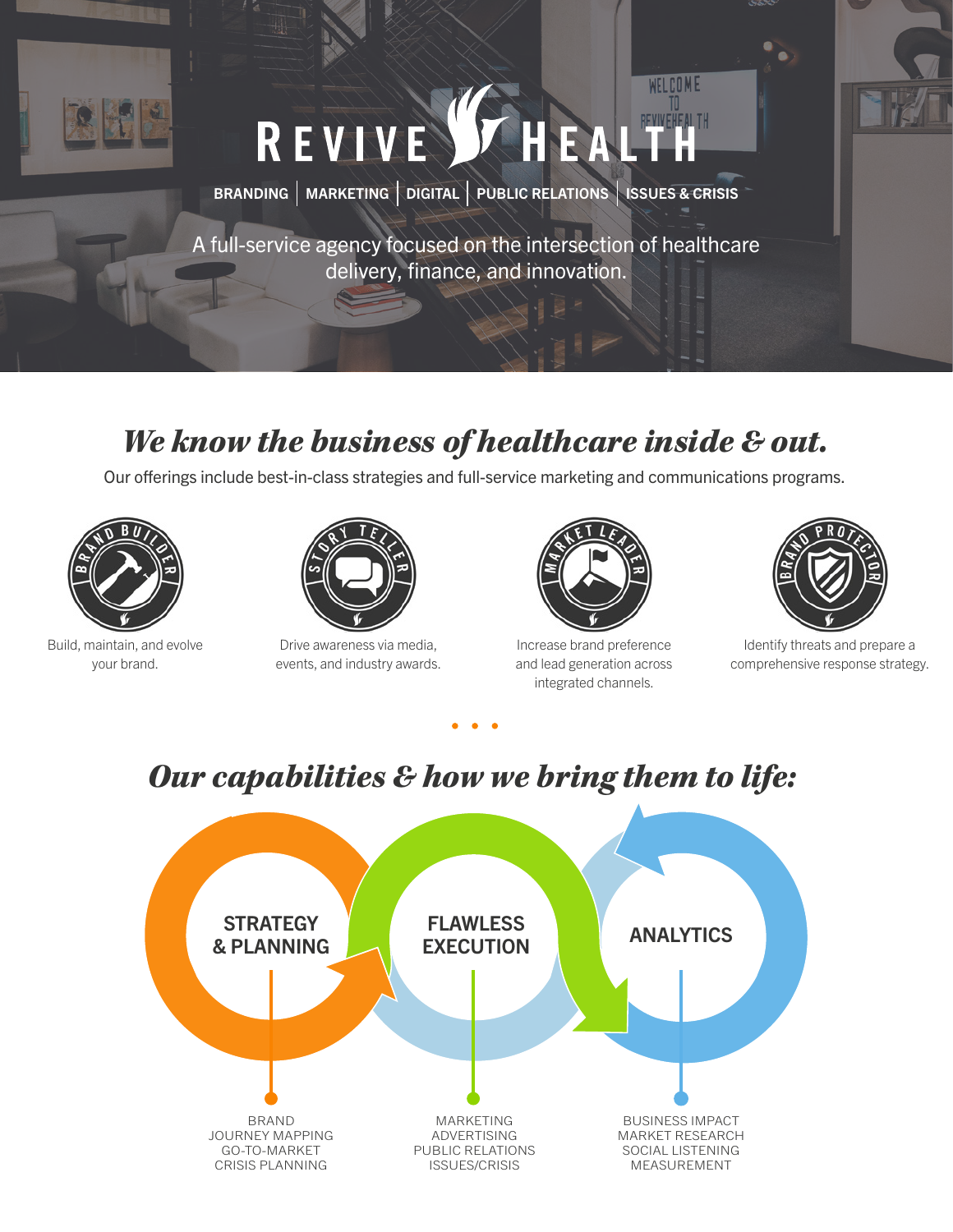

# REVIVE STHEALTH

BRANDING  $|$  MARKETING  $|$  DIGITAL  $|$  PUBLIC RELATIONS  $|$  ISSUES & CRISIS

A full-service agency focused on the intersection of healthcare delivery, finance, and innovation.

#### *We know the business of healthcare inside & out.*

Our offerings include best-in-class strategies and full-service marketing and communications programs.



Build, maintain, and evolve your brand.



Drive awareness via media, events, and industry awards.



WELCOME

Increase brand preference and lead generation across integrated channels.



Identify threats and prepare a comprehensive response strategy.

## *Our capabilities & how we bring them to life:*